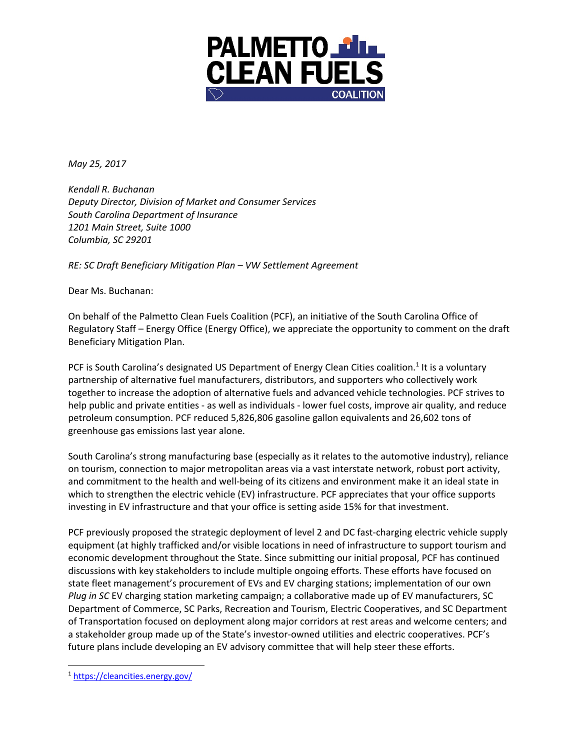

*May 25, 2017* 

*Kendall R. Buchanan Deputy Director, Division of Market and Consumer Services South Carolina Department of Insurance 1201 Main Street, Suite 1000 Columbia, SC 29201* 

*RE: SC Draft Beneficiary Mitigation Plan – VW Settlement Agreement* 

Dear Ms. Buchanan:

On behalf of the Palmetto Clean Fuels Coalition (PCF), an initiative of the South Carolina Office of Regulatory Staff – Energy Office (Energy Office), we appreciate the opportunity to comment on the draft Beneficiary Mitigation Plan.

PCF is South Carolina's designated US Department of Energy Clean Cities coalition.<sup>1</sup> It is a voluntary partnership of alternative fuel manufacturers, distributors, and supporters who collectively work together to increase the adoption of alternative fuels and advanced vehicle technologies. PCF strives to help public and private entities - as well as individuals - lower fuel costs, improve air quality, and reduce petroleum consumption. PCF reduced 5,826,806 gasoline gallon equivalents and 26,602 tons of greenhouse gas emissions last year alone.

South Carolina's strong manufacturing base (especially as it relates to the automotive industry), reliance on tourism, connection to major metropolitan areas via a vast interstate network, robust port activity, and commitment to the health and well-being of its citizens and environment make it an ideal state in which to strengthen the electric vehicle (EV) infrastructure. PCF appreciates that your office supports investing in EV infrastructure and that your office is setting aside 15% for that investment.

PCF previously proposed the strategic deployment of level 2 and DC fast-charging electric vehicle supply equipment (at highly trafficked and/or visible locations in need of infrastructure to support tourism and economic development throughout the State. Since submitting our initial proposal, PCF has continued discussions with key stakeholders to include multiple ongoing efforts. These efforts have focused on state fleet management's procurement of EVs and EV charging stations; implementation of our own *Plug in SC* EV charging station marketing campaign; a collaborative made up of EV manufacturers, SC Department of Commerce, SC Parks, Recreation and Tourism, Electric Cooperatives, and SC Department of Transportation focused on deployment along major corridors at rest areas and welcome centers; and a stakeholder group made up of the State's investor-owned utilities and electric cooperatives. PCF's future plans include developing an EV advisory committee that will help steer these efforts.

 <sup>1</sup> https://cleancities.energy.gov/